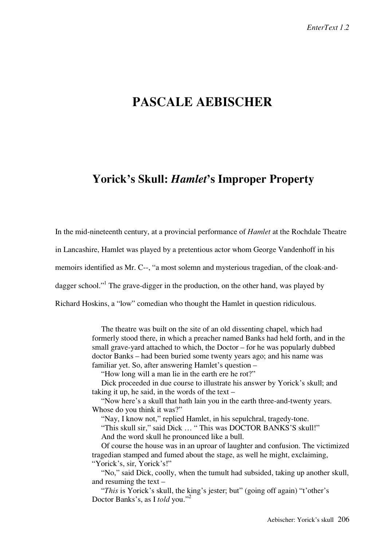# **PASCALE AEBISCHER**

## **Yorick's Skull:** *Hamlet***'s Improper Property**

In the mid-nineteenth century, at a provincial performance of *Hamlet* at the Rochdale Theatre in Lancashire, Hamlet was played by a pretentious actor whom George Vandenhoff in his memoirs identified as Mr. C--, "a most solemn and mysterious tragedian, of the cloak-anddagger school."<sup>1</sup> The grave-digger in the production, on the other hand, was played by Richard Hoskins, a "low" comedian who thought the Hamlet in question ridiculous.

> The theatre was built on the site of an old dissenting chapel, which had formerly stood there, in which a preacher named Banks had held forth, and in the small grave-yard attached to which, the Doctor – for he was popularly dubbed doctor Banks – had been buried some twenty years ago; and his name was familiar yet. So, after answering Hamlet's question –

"How long will a man lie in the earth ere he rot?"

Dick proceeded in due course to illustrate his answer by Yorick's skull; and taking it up, he said, in the words of the text –

"Now here's a skull that hath lain you in the earth three-and-twenty years. Whose do you think it was?"

"Nay, I know not," replied Hamlet, in his sepulchral, tragedy-tone.

"This skull sir," said Dick … " This was DOCTOR BANKS'S skull!" And the word skull he pronounced like a bull.

Of course the house was in an uproar of laughter and confusion. The victimized tragedian stamped and fumed about the stage, as well he might, exclaiming, "Yorick's, sir, Yorick's!"

"No," said Dick, coolly, when the tumult had subsided, taking up another skull, and resuming the text –

"*This* is Yorick's skull, the king's jester; but" (going off again) "t'other's Doctor Banks's, as I *told* you."<sup>2</sup>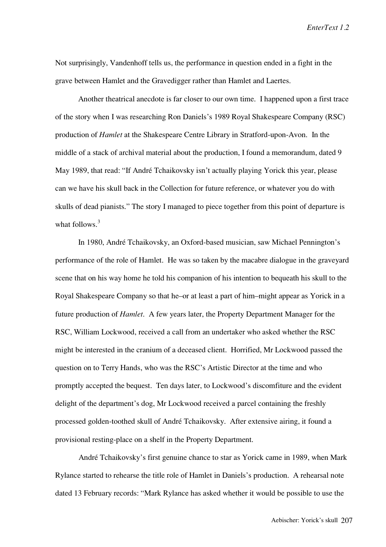*EnterText 1.2*

Not surprisingly, Vandenhoff tells us, the performance in question ended in a fight in the grave between Hamlet and the Gravedigger rather than Hamlet and Laertes.

Another theatrical anecdote is far closer to our own time. I happened upon a first trace of the story when I was researching Ron Daniels's 1989 Royal Shakespeare Company (RSC) production of *Hamlet* at the Shakespeare Centre Library in Stratford-upon-Avon. In the middle of a stack of archival material about the production, I found a memorandum, dated 9 May 1989, that read: "If André Tchaikovsky isn't actually playing Yorick this year, please can we have his skull back in the Collection for future reference, or whatever you do with skulls of dead pianists." The story I managed to piece together from this point of departure is what follows. $3$ 

In 1980, André Tchaikovsky, an Oxford-based musician, saw Michael Pennington's performance of the role of Hamlet. He was so taken by the macabre dialogue in the graveyard scene that on his way home he told his companion of his intention to bequeath his skull to the Royal Shakespeare Company so that he–or at least a part of him–might appear as Yorick in a future production of *Hamlet*. A few years later, the Property Department Manager for the RSC, William Lockwood, received a call from an undertaker who asked whether the RSC might be interested in the cranium of a deceased client. Horrified, Mr Lockwood passed the question on to Terry Hands, who was the RSC's Artistic Director at the time and who promptly accepted the bequest. Ten days later, to Lockwood's discomfiture and the evident delight of the department's dog, Mr Lockwood received a parcel containing the freshly processed golden-toothed skull of André Tchaikovsky. After extensive airing, it found a provisional resting-place on a shelf in the Property Department.

André Tchaikovsky's first genuine chance to star as Yorick came in 1989, when Mark Rylance started to rehearse the title role of Hamlet in Daniels's production. A rehearsal note dated 13 February records: "Mark Rylance has asked whether it would be possible to use the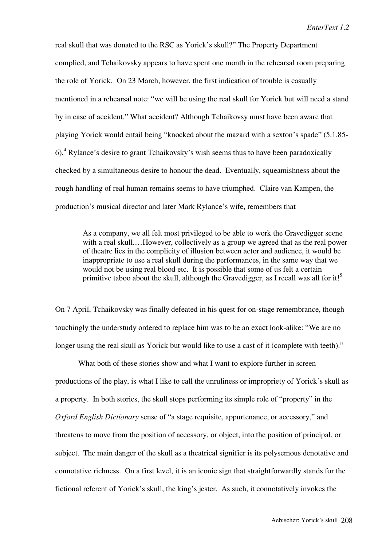real skull that was donated to the RSC as Yorick's skull?" The Property Department complied, and Tchaikovsky appears to have spent one month in the rehearsal room preparing the role of Yorick. On 23 March, however, the first indication of trouble is casually mentioned in a rehearsal note: "we will be using the real skull for Yorick but will need a stand by in case of accident." What accident? Although Tchaikovsy must have been aware that playing Yorick would entail being "knocked about the mazard with a sexton's spade" (5.1.85- 6),<sup>4</sup> Rylance's desire to grant Tchaikovsky's wish seems thus to have been paradoxically checked by a simultaneous desire to honour the dead. Eventually, squeamishness about the rough handling of real human remains seems to have triumphed. Claire van Kampen, the production's musical director and later Mark Rylance's wife, remembers that

As a company, we all felt most privileged to be able to work the Gravedigger scene with a real skull.…However, collectively as a group we agreed that as the real power of theatre lies in the complicity of illusion between actor and audience, it would be inappropriate to use a real skull during the performances, in the same way that we would not be using real blood etc. It is possible that some of us felt a certain primitive taboo about the skull, although the Gravedigger, as I recall was all for it!<sup>5</sup>

On 7 April, Tchaikovsky was finally defeated in his quest for on-stage remembrance, though touchingly the understudy ordered to replace him was to be an exact look-alike: "We are no longer using the real skull as Yorick but would like to use a cast of it (complete with teeth)."

What both of these stories show and what I want to explore further in screen productions of the play, is what I like to call the unruliness or impropriety of Yorick's skull as a property. In both stories, the skull stops performing its simple role of "property" in the *Oxford English Dictionary* sense of "a stage requisite, appurtenance, or accessory," and threatens to move from the position of accessory, or object, into the position of principal, or subject. The main danger of the skull as a theatrical signifier is its polysemous denotative and connotative richness. On a first level, it is an iconic sign that straightforwardly stands for the fictional referent of Yorick's skull, the king's jester. As such, it connotatively invokes the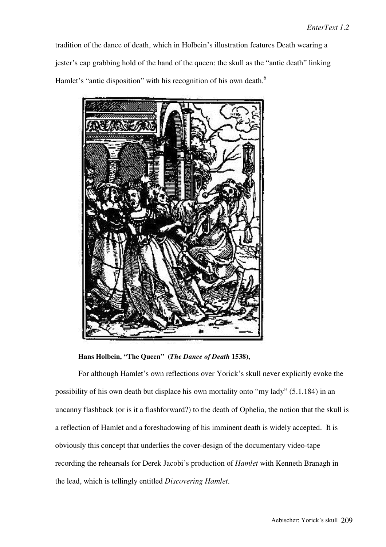tradition of the dance of death, which in Holbein's illustration features Death wearing a jester's cap grabbing hold of the hand of the queen: the skull as the "antic death" linking Hamlet's "antic disposition" with his recognition of his own death.<sup>6</sup>



**Hans Holbein, "The Queen" (***The Dance of Death* **1538),**

For although Hamlet's own reflections over Yorick's skull never explicitly evoke the possibility of his own death but displace his own mortality onto "my lady" (5.1.184) in an uncanny flashback (or is it a flashforward?) to the death of Ophelia, the notion that the skull is a reflection of Hamlet and a foreshadowing of his imminent death is widely accepted. It is obviously this concept that underlies the cover-design of the documentary video-tape recording the rehearsals for Derek Jacobi's production of *Hamlet* with Kenneth Branagh in the lead, which is tellingly entitled *Discovering Hamlet*.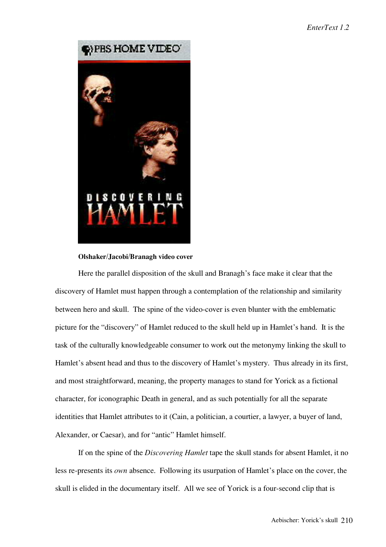

### **Olshaker/Jacobi/Branagh video cover**

Here the parallel disposition of the skull and Branagh's face make it clear that the discovery of Hamlet must happen through a contemplation of the relationship and similarity between hero and skull. The spine of the video-cover is even blunter with the emblematic picture for the "discovery" of Hamlet reduced to the skull held up in Hamlet's hand. It is the task of the culturally knowledgeable consumer to work out the metonymy linking the skull to Hamlet's absent head and thus to the discovery of Hamlet's mystery. Thus already in its first, and most straightforward, meaning, the property manages to stand for Yorick as a fictional character, for iconographic Death in general, and as such potentially for all the separate identities that Hamlet attributes to it (Cain, a politician, a courtier, a lawyer, a buyer of land, Alexander, or Caesar), and for "antic" Hamlet himself.

If on the spine of the *Discovering Hamlet* tape the skull stands for absent Hamlet, it no less re-presents its *own* absence. Following its usurpation of Hamlet's place on the cover, the skull is elided in the documentary itself. All we see of Yorick is a four-second clip that is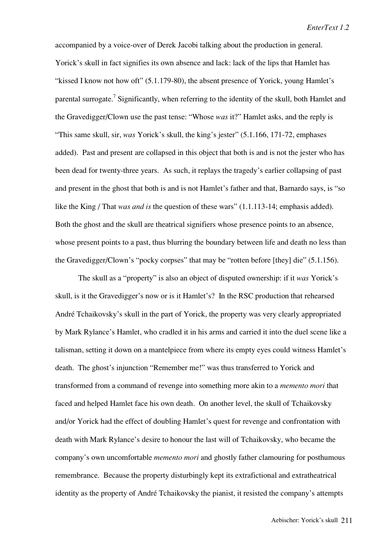accompanied by a voice-over of Derek Jacobi talking about the production in general. Yorick's skull in fact signifies its own absence and lack: lack of the lips that Hamlet has "kissed I know not how oft" (5.1.179-80), the absent presence of Yorick, young Hamlet's parental surrogate.<sup>7</sup> Significantly, when referring to the identity of the skull, both Hamlet and the Gravedigger/Clown use the past tense: "Whose *was* it?" Hamlet asks, and the reply is "This same skull, sir, *was* Yorick's skull, the king's jester" (5.1.166, 171-72, emphases added). Past and present are collapsed in this object that both is and is not the jester who has been dead for twenty-three years. As such, it replays the tragedy's earlier collapsing of past and present in the ghost that both is and is not Hamlet's father and that, Barnardo says, is "so like the King / That *was and is* the question of these wars" (1.1.113-14; emphasis added). Both the ghost and the skull are theatrical signifiers whose presence points to an absence, whose present points to a past, thus blurring the boundary between life and death no less than the Gravedigger/Clown's "pocky corpses" that may be "rotten before [they] die" (5.1.156).

The skull as a "property" is also an object of disputed ownership: if it *was* Yorick's skull, is it the Gravedigger's now or is it Hamlet's? In the RSC production that rehearsed André Tchaikovsky's skull in the part of Yorick, the property was very clearly appropriated by Mark Rylance's Hamlet, who cradled it in his arms and carried it into the duel scene like a talisman, setting it down on a mantelpiece from where its empty eyes could witness Hamlet's death. The ghost's injunction "Remember me!" was thus transferred to Yorick and transformed from a command of revenge into something more akin to a *memento mori* that faced and helped Hamlet face his own death. On another level, the skull of Tchaikovsky and/or Yorick had the effect of doubling Hamlet's quest for revenge and confrontation with death with Mark Rylance's desire to honour the last will of Tchaikovsky, who became the company's own uncomfortable *memento mori* and ghostly father clamouring for posthumous remembrance. Because the property disturbingly kept its extrafictional and extratheatrical identity as the property of André Tchaikovsky the pianist, it resisted the company's attempts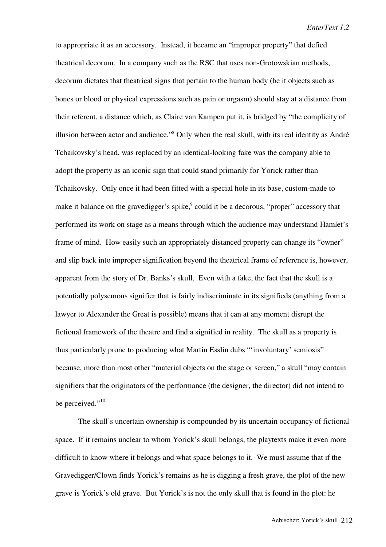to appropriate it as an accessory. Instead, it became an "improper property" that defied theatrical decorum. In a company such as the RSC that uses non-Grotowskian methods, decorum dictates that theatrical signs that pertain to the human body (be it objects such as bones or blood or physical expressions such as pain or orgasm) should stay at a distance from their referent, a distance which, as Claire van Kampen put it, is bridged by "the complicity of illusion between actor and audience."<sup>8</sup> Only when the real skull, with its real identity as André Tchaikovsky's head, was replaced by an identical-looking fake was the company able to adopt the property as an iconic sign that could stand primarily for Yorick rather than Tchaikovsky. Only once it had been fitted with a special hole in its base, custom-made to make it balance on the gravedigger's spike,<sup>9</sup> could it be a decorous, "proper" accessory that performed its work on stage as a means through which the audience may understand Hamlet's frame of mind. How easily such an appropriately distanced property can change its "owner" and slip back into improper signification beyond the theatrical frame of reference is, however, apparent from the story of Dr. Banks's skull. Even with a fake, the fact that the skull is a potentially polysemous signifier that is fairly indiscriminate in its signifieds (anything from a lawyer to Alexander the Great is possible) means that it can at any moment disrupt the fictional framework of the theatre and find a signified in reality. The skull as a property is thus particularly prone to producing what Martin Esslin dubs "'involuntary' semiosis" because, more than most other "material objects on the stage or screen," a skull "may contain signifiers that the originators of the performance (the designer, the director) did not intend to be perceived."<sup>10</sup>

The skull's uncertain ownership is compounded by its uncertain occupancy of fictional space. If it remains unclear to whom Yorick's skull belongs, the playtexts make it even more difficult to know where it belongs and what space belongs to it. We must assume that if the Gravedigger/Clown finds Yorick's remains as he is digging a fresh grave, the plot of the new grave is Yorick's old grave. But Yorick's is not the only skull that is found in the plot: he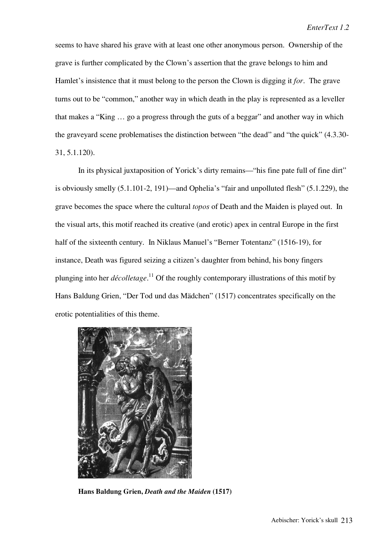seems to have shared his grave with at least one other anonymous person. Ownership of the grave is further complicated by the Clown's assertion that the grave belongs to him and Hamlet's insistence that it must belong to the person the Clown is digging it *for*. The grave turns out to be "common," another way in which death in the play is represented as a leveller that makes a "King … go a progress through the guts of a beggar" and another way in which the graveyard scene problematises the distinction between "the dead" and "the quick" (4.3.30- 31, 5.1.120).

In its physical juxtaposition of Yorick's dirty remains—"his fine pate full of fine dirt" is obviously smelly (5.1.101-2, 191)—and Ophelia's "fair and unpolluted flesh" (5.1.229), the grave becomes the space where the cultural *topos* of Death and the Maiden is played out. In the visual arts, this motif reached its creative (and erotic) apex in central Europe in the first half of the sixteenth century. In Niklaus Manuel's "Berner Totentanz" (1516-19), for instance, Death was figured seizing a citizen's daughter from behind, his bony fingers plunging into her *décolletage*. 11 Of the roughly contemporary illustrations of this motif by Hans Baldung Grien, "Der Tod und das Mädchen" (1517) concentrates specifically on the erotic potentialities of this theme.



**Hans Baldung Grien,** *Death and the Maiden* **(1517)**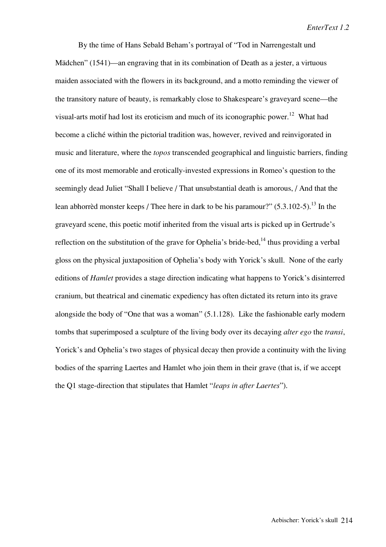By the time of Hans Sebald Beham's portrayal of "Tod in Narrengestalt und Mädchen" (1541)—an engraving that in its combination of Death as a jester, a virtuous maiden associated with the flowers in its background, and a motto reminding the viewer of the transitory nature of beauty, is remarkably close to Shakespeare's graveyard scene—the visual-arts motif had lost its eroticism and much of its iconographic power.<sup>12</sup> What had become a cliché within the pictorial tradition was, however, revived and reinvigorated in music and literature, where the *topos* transcended geographical and linguistic barriers, finding one of its most memorable and erotically-invested expressions in Romeo's question to the seemingly dead Juliet "Shall I believe / That unsubstantial death is amorous, / And that the lean abhorrèd monster keeps / Thee here in dark to be his paramour?"  $(5.3.102-5)$ .<sup>13</sup> In the graveyard scene, this poetic motif inherited from the visual arts is picked up in Gertrude's reflection on the substitution of the grave for Ophelia's bride-bed, $^{14}$  thus providing a verbal gloss on the physical juxtaposition of Ophelia's body with Yorick's skull. None of the early editions of *Hamlet* provides a stage direction indicating what happens to Yorick's disinterred cranium, but theatrical and cinematic expediency has often dictated its return into its grave alongside the body of "One that was a woman" (5.1.128). Like the fashionable early modern tombs that superimposed a sculpture of the living body over its decaying *alter ego* the *transi*, Yorick's and Ophelia's two stages of physical decay then provide a continuity with the living bodies of the sparring Laertes and Hamlet who join them in their grave (that is, if we accept the Q1 stage-direction that stipulates that Hamlet "*leaps in after Laertes*").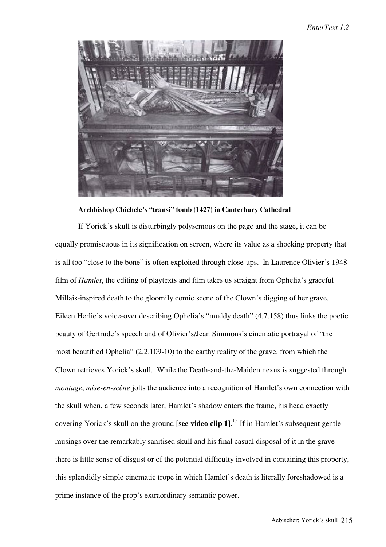

**Archbishop Chichele's "transi" tomb (1427) in Canterbury Cathedral**

If Yorick's skull is disturbingly polysemous on the page and the stage, it can be equally promiscuous in its signification on screen, where its value as a shocking property that is all too "close to the bone" is often exploited through close-ups. In Laurence Olivier's 1948 film of *Hamlet*, the editing of playtexts and film takes us straight from Ophelia's graceful Millais-inspired death to the gloomily comic scene of the Clown's digging of her grave. Eileen Herlie's voice-over describing Ophelia's "muddy death" (4.7.158) thus links the poetic beauty of Gertrude's speech and of Olivier's/Jean Simmons's cinematic portrayal of "the most beautified Ophelia" (2.2.109-10) to the earthy reality of the grave, from which the Clown retrieves Yorick's skull. While the Death-and-the-Maiden nexus is suggested through *montage*, *mise-en-scène* jolts the audience into a recognition of Hamlet's own connection with the skull when, a few seconds later, Hamlet's shadow enters the frame, his head exactly covering Yorick's skull on the ground **[see video clip 1]**. <sup>15</sup> If in Hamlet's subsequent gentle musings over the remarkably sanitised skull and his final casual disposal of it in the grave there is little sense of disgust or of the potential difficulty involved in containing this property, this splendidly simple cinematic trope in which Hamlet's death is literally foreshadowed is a prime instance of the prop's extraordinary semantic power.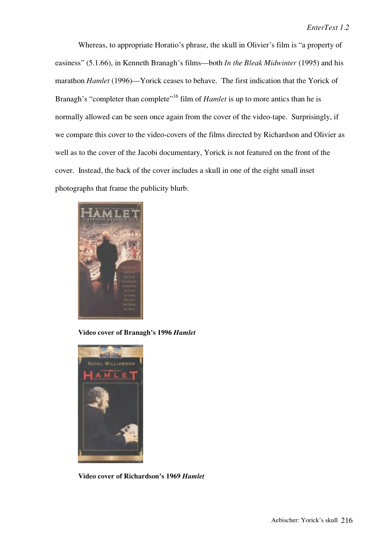Whereas, to appropriate Horatio's phrase, the skull in Olivier's film is "a property of easiness" (5.1.66), in Kenneth Branagh's films—both *In the Bleak Midwinter* (1995) and his marathon *Hamlet* (1996)—Yorick ceases to behave. The first indication that the Yorick of Branagh's "completer than complete"<sup>16</sup> film of *Hamlet* is up to more antics than he is normally allowed can be seen once again from the cover of the video-tape. Surprisingly, if we compare this cover to the video-covers of the films directed by Richardson and Olivier as well as to the cover of the Jacobi documentary, Yorick is not featured on the front of the cover. Instead, the back of the cover includes a skull in one of the eight small inset photographs that frame the publicity blurb.



**Video cover of Branagh's 1996** *Hamlet*



**Video cover of Richardson's 1969** *Hamlet*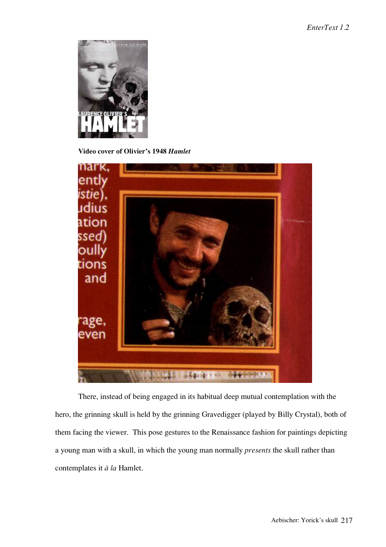

**Video cover of Olivier's 1948** *Hamlet*



There, instead of being engaged in its habitual deep mutual contemplation with the hero, the grinning skull is held by the grinning Gravedigger (played by Billy Crystal), both of them facing the viewer. This pose gestures to the Renaissance fashion for paintings depicting a young man with a skull, in which the young man normally *presents* the skull rather than contemplates it *à la* Hamlet.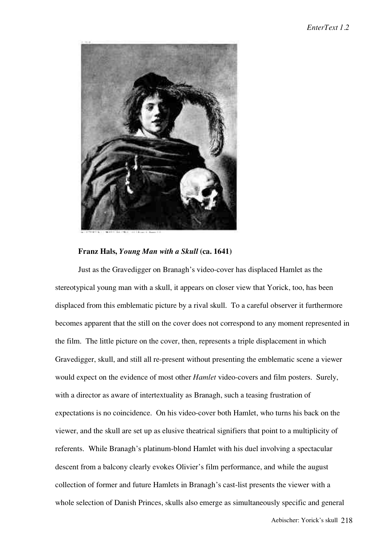

### **Franz Hals,** *Young Man with a Skull* **(ca. 1641)**

Just as the Gravedigger on Branagh's video-cover has displaced Hamlet as the stereotypical young man with a skull, it appears on closer view that Yorick, too, has been displaced from this emblematic picture by a rival skull. To a careful observer it furthermore becomes apparent that the still on the cover does not correspond to any moment represented in the film. The little picture on the cover, then, represents a triple displacement in which Gravedigger, skull, and still all re-present without presenting the emblematic scene a viewer would expect on the evidence of most other *Hamlet* video-covers and film posters. Surely, with a director as aware of intertextuality as Branagh, such a teasing frustration of expectations is no coincidence. On his video-cover both Hamlet, who turns his back on the viewer, and the skull are set up as elusive theatrical signifiers that point to a multiplicity of referents. While Branagh's platinum-blond Hamlet with his duel involving a spectacular descent from a balcony clearly evokes Olivier's film performance, and while the august collection of former and future Hamlets in Branagh's cast-list presents the viewer with a whole selection of Danish Princes, skulls also emerge as simultaneously specific and general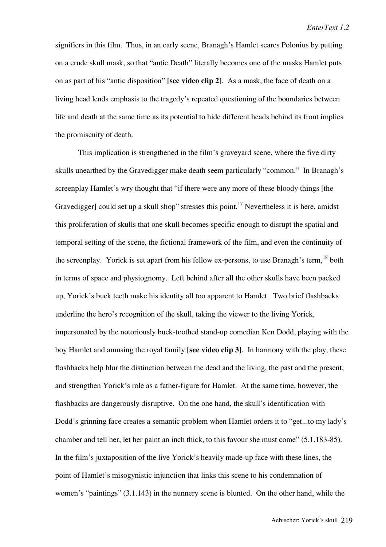signifiers in this film. Thus, in an early scene, Branagh's Hamlet scares Polonius by putting on a crude skull mask, so that "antic Death" literally becomes one of the masks Hamlet puts on as part of his "antic disposition" **[see video clip 2]**. As a mask, the face of death on a living head lends emphasis to the tragedy's repeated questioning of the boundaries between life and death at the same time as its potential to hide different heads behind its front implies the promiscuity of death.

This implication is strengthened in the film's graveyard scene, where the five dirty skulls unearthed by the Gravedigger make death seem particularly "common." In Branagh's screenplay Hamlet's wry thought that "if there were any more of these bloody things [the Gravedigger] could set up a skull shop" stresses this point.<sup>17</sup> Nevertheless it is here, amidst this proliferation of skulls that one skull becomes specific enough to disrupt the spatial and temporal setting of the scene, the fictional framework of the film, and even the continuity of the screenplay. Yorick is set apart from his fellow ex-persons, to use Branagh's term,  $18$  both in terms of space and physiognomy. Left behind after all the other skulls have been packed up, Yorick's buck teeth make his identity all too apparent to Hamlet. Two brief flashbacks underline the hero's recognition of the skull, taking the viewer to the living Yorick, impersonated by the notoriously buck-toothed stand-up comedian Ken Dodd, playing with the boy Hamlet and amusing the royal family **[see video clip 3]**. In harmony with the play, these flashbacks help blur the distinction between the dead and the living, the past and the present, and strengthen Yorick's role as a father-figure for Hamlet. At the same time, however, the flashbacks are dangerously disruptive. On the one hand, the skull's identification with Dodd's grinning face creates a semantic problem when Hamlet orders it to "get...to my lady's chamber and tell her, let her paint an inch thick, to this favour she must come" (5.1.183-85). In the film's juxtaposition of the live Yorick's heavily made-up face with these lines, the point of Hamlet's misogynistic injunction that links this scene to his condemnation of women's "paintings" (3.1.143) in the nunnery scene is blunted. On the other hand, while the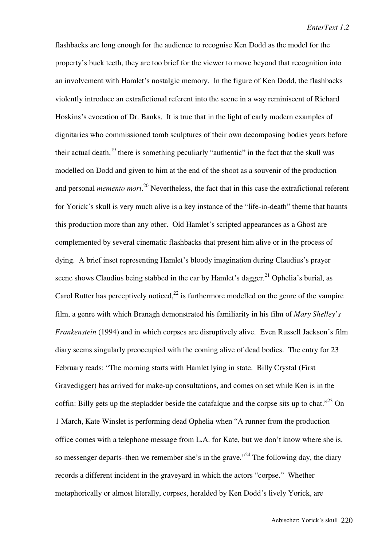flashbacks are long enough for the audience to recognise Ken Dodd as the model for the property's buck teeth, they are too brief for the viewer to move beyond that recognition into an involvement with Hamlet's nostalgic memory. In the figure of Ken Dodd, the flashbacks violently introduce an extrafictional referent into the scene in a way reminiscent of Richard Hoskins's evocation of Dr. Banks. It is true that in the light of early modern examples of dignitaries who commissioned tomb sculptures of their own decomposing bodies years before their actual death, $^{19}$  there is something peculiarly "authentic" in the fact that the skull was modelled on Dodd and given to him at the end of the shoot as a souvenir of the production and personal *memento mori*. 20 Nevertheless, the fact that in this case the extrafictional referent for Yorick's skull is very much alive is a key instance of the "life-in-death" theme that haunts this production more than any other. Old Hamlet's scripted appearances as a Ghost are complemented by several cinematic flashbacks that present him alive or in the process of dying. A brief inset representing Hamlet's bloody imagination during Claudius's prayer scene shows Claudius being stabbed in the ear by Hamlet's dagger.<sup>21</sup> Ophelia's burial, as Carol Rutter has perceptively noticed,<sup>22</sup> is furthermore modelled on the genre of the vampire film, a genre with which Branagh demonstrated his familiarity in his film of *Mary Shelley's Frankenstein* (1994) and in which corpses are disruptively alive. Even Russell Jackson's film diary seems singularly preoccupied with the coming alive of dead bodies. The entry for 23 February reads: "The morning starts with Hamlet lying in state. Billy Crystal (First Gravedigger) has arrived for make-up consultations, and comes on set while Ken is in the coffin: Billy gets up the stepladder beside the catafalque and the corpse sits up to chat.<sup> $23$ </sup> On 1 March, Kate Winslet is performing dead Ophelia when "A runner from the production office comes with a telephone message from L.A. for Kate, but we don't know where she is, so messenger departs–then we remember she's in the grave."<sup>24</sup> The following day, the diary records a different incident in the graveyard in which the actors "corpse." Whether metaphorically or almost literally, corpses, heralded by Ken Dodd's lively Yorick, are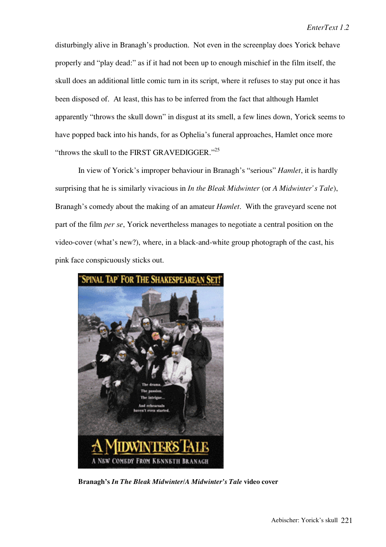disturbingly alive in Branagh's production. Not even in the screenplay does Yorick behave properly and "play dead:" as if it had not been up to enough mischief in the film itself, the skull does an additional little comic turn in its script, where it refuses to stay put once it has been disposed of. At least, this has to be inferred from the fact that although Hamlet apparently "throws the skull down" in disgust at its smell, a few lines down, Yorick seems to have popped back into his hands, for as Ophelia's funeral approaches, Hamlet once more "throws the skull to the FIRST GRAVEDIGGER."<sup>25</sup>

In view of Yorick's improper behaviour in Branagh's "serious" *Hamlet*, it is hardly surprising that he is similarly vivacious in *In the Bleak Midwinter* (or *A Midwinter's Tale*), Branagh's comedy about the making of an amateur *Hamlet*. With the graveyard scene not part of the film *per se*, Yorick nevertheless manages to negotiate a central position on the video-cover (what's new?), where, in a black-and-white group photograph of the cast, his pink face conspicuously sticks out.



**Branagh's** *In The Bleak Midwinter/A Midwinter's Tale* **video cover**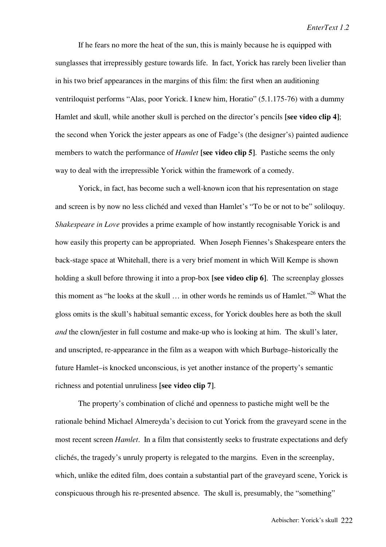If he fears no more the heat of the sun, this is mainly because he is equipped with sunglasses that irrepressibly gesture towards life. In fact, Yorick has rarely been livelier than in his two brief appearances in the margins of this film: the first when an auditioning ventriloquist performs "Alas, poor Yorick. I knew him, Horatio" (5.1.175-76) with a dummy Hamlet and skull, while another skull is perched on the director's pencils **[see video clip 4]**; the second when Yorick the jester appears as one of Fadge's (the designer's) painted audience members to watch the performance of *Hamlet* **[see video clip 5]**. Pastiche seems the only way to deal with the irrepressible Yorick within the framework of a comedy.

Yorick, in fact, has become such a well-known icon that his representation on stage and screen is by now no less clichéd and vexed than Hamlet's "To be or not to be" soliloquy. *Shakespeare in Love* provides a prime example of how instantly recognisable Yorick is and how easily this property can be appropriated. When Joseph Fiennes's Shakespeare enters the back-stage space at Whitehall, there is a very brief moment in which Will Kempe is shown holding a skull before throwing it into a prop-box **[see video clip 6]**. The screenplay glosses this moment as "he looks at the skull  $\ldots$  in other words he reminds us of Hamlet."<sup>26</sup> What the gloss omits is the skull's habitual semantic excess, for Yorick doubles here as both the skull *and* the clown/jester in full costume and make-up who is looking at him. The skull's later, and unscripted, re-appearance in the film as a weapon with which Burbage–historically the future Hamlet–is knocked unconscious, is yet another instance of the property's semantic richness and potential unruliness **[see video clip 7]**.

The property's combination of cliché and openness to pastiche might well be the rationale behind Michael Almereyda's decision to cut Yorick from the graveyard scene in the most recent screen *Hamlet*. In a film that consistently seeks to frustrate expectations and defy clichés, the tragedy's unruly property is relegated to the margins. Even in the screenplay, which, unlike the edited film, does contain a substantial part of the graveyard scene, Yorick is conspicuous through his re-presented absence. The skull is, presumably, the "something"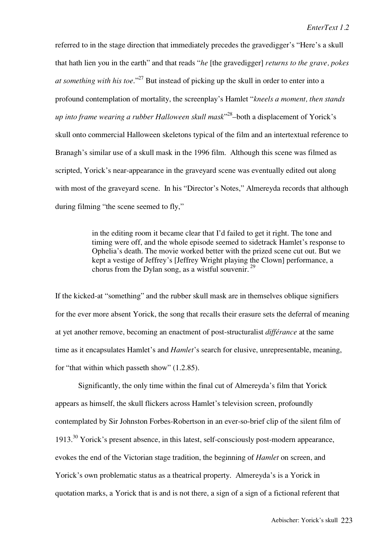referred to in the stage direction that immediately precedes the gravedigger's "Here's a skull that hath lien you in the earth" and that reads "*he* [the gravedigger] *returns to the grave, pokes at something with his toe*."27 But instead of picking up the skull in order to enter into a profound contemplation of mortality, the screenplay's Hamlet "*kneels a moment, then stands up into frame wearing a rubber Halloween skull mask*" 28–both a displacement of Yorick's skull onto commercial Halloween skeletons typical of the film and an intertextual reference to Branagh's similar use of a skull mask in the 1996 film. Although this scene was filmed as scripted, Yorick's near-appearance in the graveyard scene was eventually edited out along with most of the graveyard scene. In his "Director's Notes," Almereyda records that although during filming "the scene seemed to fly,"

> in the editing room it became clear that I'd failed to get it right. The tone and timing were off, and the whole episode seemed to sidetrack Hamlet's response to Ophelia's death. The movie worked better with the prized scene cut out. But we kept a vestige of Jeffrey's [Jeffrey Wright playing the Clown] performance, a chorus from the Dylan song, as a wistful souvenir.  $^{29}$

If the kicked-at "something" and the rubber skull mask are in themselves oblique signifiers for the ever more absent Yorick, the song that recalls their erasure sets the deferral of meaning at yet another remove, becoming an enactment of post-structuralist *différance* at the same time as it encapsulates Hamlet's and *Hamlet*'s search for elusive, unrepresentable, meaning, for "that within which passeth show" (1.2.85).

Significantly, the only time within the final cut of Almereyda's film that Yorick appears as himself, the skull flickers across Hamlet's television screen, profoundly contemplated by Sir Johnston Forbes-Robertson in an ever-so-brief clip of the silent film of 1913.<sup>30</sup> Yorick's present absence, in this latest, self-consciously post-modern appearance, evokes the end of the Victorian stage tradition, the beginning of *Hamlet* on screen, and Yorick's own problematic status as a theatrical property. Almereyda's is a Yorick in quotation marks, a Yorick that is and is not there, a sign of a sign of a fictional referent that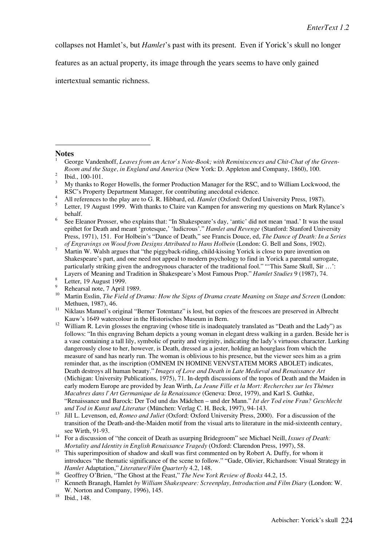collapses not Hamlet's, but *Hamlet*'s past with its present. Even if Yorick's skull no longer

features as an actual property, its image through the years seems to have only gained

intertextual semantic richness.

### **Notes**

1

<sup>4</sup> All references to the play are to G. R. Hibbard, ed. *Hamlet* (Oxford: Oxford University Press, 1987).

- 
- <sup>10</sup> Martin Esslin, *The Field of Drama: How the Signs of Drama create Meaning on Stage and Screen* (London: Methuen, 1987), 46.<br><sup>11</sup> Niklaus Manuel's original "Berner Totentanz" is lost, but copies of the frescoes are preserved in Albrecht
- 
- Kauw's 1649 watercolour in the Historisches Museum in Bern.<br><sup>12</sup> William R. Levin glosses the engraving (whose title is inadequately translated as "Death and the Lady") as follows: "In this engraving Beham depicts a young woman in elegant dress walking in a garden. Beside her is a vase containing a tall lily, symbolic of purity and virginity, indicating the lady's virtuous character. Lurking dangerously close to her, however, is Death, dressed as a jester, holding an hourglass from which the measure of sand has nearly run. The woman is oblivious to his presence, but the viewer sees him as a grim reminder that, as the inscription (OMNEM IN HOMINE VENVSTATEM MORS ABOLET) indicates, Death destroys all human beauty." *Images of Love and Death in Late Medieval and Renaissance Art* (Michigan: University Publications, 1975), 71. In-depth discussions of the topos of Death and the Maiden in early modern Europe are provided by Jean Wirth, *La Jeune Fille et la Mort: Recherches sur les Thèmes Macabres dans l'Art Germanique de la Renaissance* (Geneva: Droz, 1979), and Karl S. Guthke, "Renaissance und Barock: Der Tod und das Mädchen – und der Mann." *Ist der Tod eine Frau? Geschlecht*
- *und Tod in Kunst und Literatur* (München: Verlag C. H. Beck, 1997), 94-143. <sup>13</sup> Jill L. Levenson, ed, *Romeo and Juliet* (Oxford: Oxford University Press, 2000). For a discussion of the transition of the Death-and-the-Maiden motif from the visual arts to literature in the mid-sixteenth century,
- see Wirth, 91-93. <sup>14</sup> For a discussion of "the conceit of Death as usurping Bridegroom" see Michael Neill, *Issues of Death: Mortality and Identity in English Renaissance Tragedy* (Oxford: Clarendon Press, 1997), 58.
- <sup>15</sup> This superimposition of shadow and skull was first commented on by Robert A. Duffy, for whom it introduces "the thematic significance of the scene to follow." "Gade, Olivier, Richardson: Visual Strategy in *Hamlet* Adaptation," *Literature/Film Quarterly* 4.2, 148.
- 
- <sup>16</sup> Geoffrey O'Brien, "The Ghost at the Feast," *The New York Review of Books* 44.2, 15.<br><sup>17</sup> Kenneth Branagh, Hamlet *by William Shakespeare: Screenplay, Introduction and Film Diary* (London: W. W. Norton and Company, 1996), 145. Ibid., 148.
- 

George Vandenhoff, *Leaves from an Actor's Note-Book; with Reminiscences and Chit-Chat of the Green-Room and the Stage, in England and America* (New York: D. Appleton and Company, 1860), 100. Ibid., 100-101. <br>3 My thanks to Roger Howells, the former Production Manager for the RSC, and to William Lockwood, the

RSC's Property Department Manager, for contributing anecdotal evidence.

<sup>5</sup> Letter, 19 August 1999. With thanks to Claire van Kampen for answering my questions on Mark Rylance's behalf.

<sup>6</sup> See Eleanor Prosser, who explains that: "In Shakespeare's day, 'antic' did not mean 'mad.' It was the usual epithet for Death and meant 'grotesque,' 'ludicrous'." *Hamlet and Revenge* (Stanford: Stanford University Press, 1971), 151. For Holbein's "Dance of Death," see Francis Douce, ed, *The Dance of Death: In a Series*

*of Engravings on Wood from Designs Attributed to Hans Holbein* (London: G. Bell and Sons, 1902).<br><sup>7</sup> Martin W. Walsh argues that "the piggyback-riding, child-kissing Yorick is close to pure invention on Shakespeare's part, and one need not appeal to modern psychology to find in Yorick a parental surrogate, particularly striking given the androgynous character of the traditional fool." "This Same Skull, Sir ...": Layers of Meaning and Tradition in Shakespeare's Most Famous Prop." *Hamlet Studies* 9 (1987), 74.<br><sup>8</sup> Letter, 19 August 1999.<br>Rehearsal note, 7 April 1989.